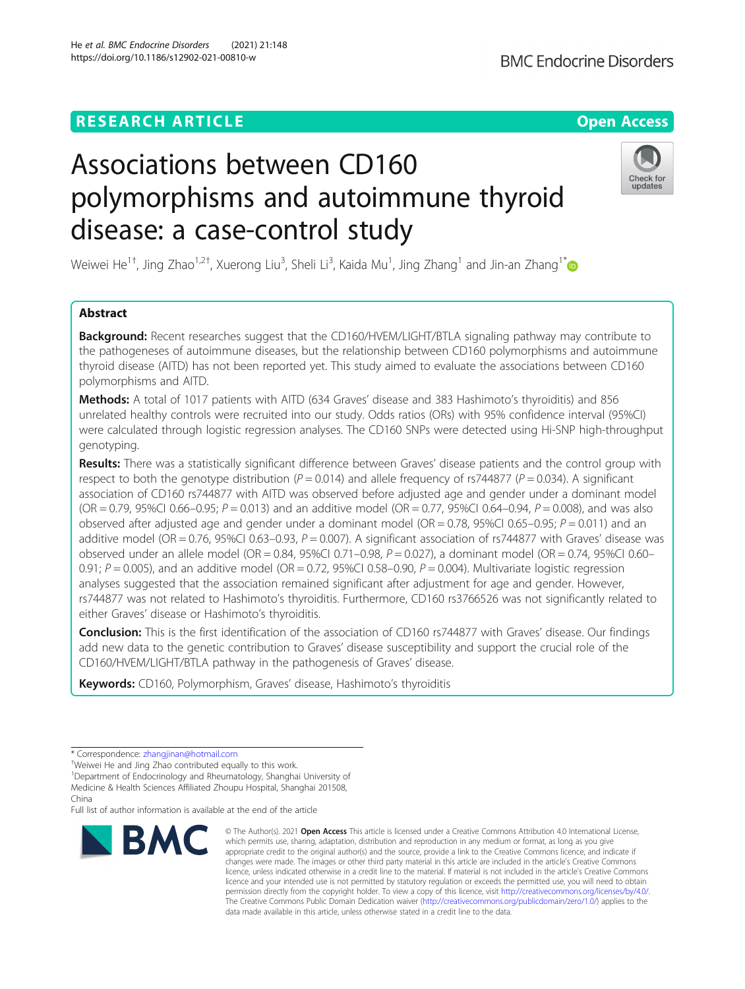# **RESEARCH ARTICLE Example 2014 12:30 The Contract of Contract ACCESS**

# Associations between CD160 polymorphisms and autoimmune thyroid disease: a case-control study

Weiwei He $^{1+}$ , Jing Zhao $^{1,2+}$ , Xuerong Liu $^3$ , Sheli Li $^3$ , Kaida Mu $^1$ , Jing Zhang $^1$  and Jin-an Zhang $^{1\,*}$  $^{1\,*}$  $^{1\,*}$ 

## Abstract

**Background:** Recent researches suggest that the CD160/HVEM/LIGHT/BTLA signaling pathway may contribute to the pathogeneses of autoimmune diseases, but the relationship between CD160 polymorphisms and autoimmune thyroid disease (AITD) has not been reported yet. This study aimed to evaluate the associations between CD160 polymorphisms and AITD.

Methods: A total of 1017 patients with AITD (634 Graves' disease and 383 Hashimoto's thyroiditis) and 856 unrelated healthy controls were recruited into our study. Odds ratios (ORs) with 95% confidence interval (95%CI) were calculated through logistic regression analyses. The CD160 SNPs were detected using Hi-SNP high-throughput genotyping.

Results: There was a statistically significant difference between Graves' disease patients and the control group with respect to both the genotype distribution ( $P = 0.014$ ) and allele frequency of rs744877 ( $P = 0.034$ ). A significant association of CD160 rs744877 with AITD was observed before adjusted age and gender under a dominant model (OR = 0.79, 95%CI 0.66–0.95;  $P = 0.013$ ) and an additive model (OR = 0.77, 95%CI 0.64–0.94,  $P = 0.008$ ), and was also observed after adjusted age and gender under a dominant model (OR = 0.78, 95%CI 0.65–0.95;  $P = 0.011$ ) and an additive model (OR = 0.76, 95%CI 0.63-0.93,  $P = 0.007$ ). A significant association of rs744877 with Graves' disease was observed under an allele model (OR = 0.84, 95%CI 0.71–0.98, P = 0.027), a dominant model (OR = 0.74, 95%CI 0.60– 0.91;  $P = 0.005$ ), and an additive model (OR = 0.72, 95%CI 0.58–0.90,  $P = 0.004$ ). Multivariate logistic regression analyses suggested that the association remained significant after adjustment for age and gender. However, rs744877 was not related to Hashimoto's thyroiditis. Furthermore, CD160 rs3766526 was not significantly related to either Graves' disease or Hashimoto's thyroiditis.

Conclusion: This is the first identification of the association of CD160 rs744877 with Graves' disease. Our findings add new data to the genetic contribution to Graves' disease susceptibility and support the crucial role of the CD160/HVEM/LIGHT/BTLA pathway in the pathogenesis of Graves' disease.

Keywords: CD160, Polymorphism, Graves' disease, Hashimoto's thyroiditis

Full list of author information is available at the end of the article

data made available in this article, unless otherwise stated in a credit line to the data.

© The Author(s), 2021 **Open Access** This article is licensed under a Creative Commons Attribution 4.0 International License, which permits use, sharing, adaptation, distribution and reproduction in any medium or format, as long as you give



**BMC Endocrine Disorders** 



<sup>\*</sup> Correspondence: [zhangjinan@hotmail.com](mailto:zhangjinan@hotmail.com) †

Weiwei He and Jing Zhao contributed equally to this work.

<sup>&</sup>lt;sup>1</sup>Department of Endocrinology and Rheumatology, Shanghai University of Medicine & Health Sciences Affiliated Zhoupu Hospital, Shanghai 201508,

China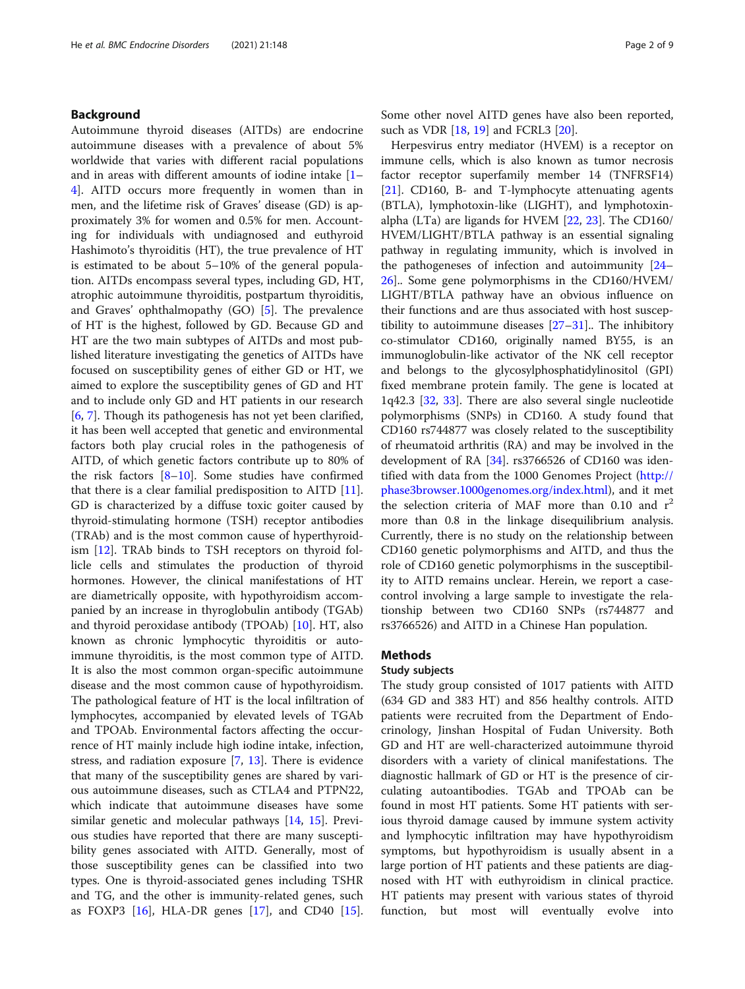## Background

Autoimmune thyroid diseases (AITDs) are endocrine autoimmune diseases with a prevalence of about 5% worldwide that varies with different racial populations and in areas with different amounts of iodine intake [[1](#page-7-0)– [4\]](#page-7-0). AITD occurs more frequently in women than in men, and the lifetime risk of Graves' disease (GD) is approximately 3% for women and 0.5% for men. Accounting for individuals with undiagnosed and euthyroid Hashimoto's thyroiditis (HT), the true prevalence of HT is estimated to be about 5–10% of the general population. AITDs encompass several types, including GD, HT, atrophic autoimmune thyroiditis, postpartum thyroiditis, and Graves' ophthalmopathy (GO) [\[5](#page-7-0)]. The prevalence of HT is the highest, followed by GD. Because GD and HT are the two main subtypes of AITDs and most published literature investigating the genetics of AITDs have focused on susceptibility genes of either GD or HT, we aimed to explore the susceptibility genes of GD and HT and to include only GD and HT patients in our research [[6,](#page-7-0) [7\]](#page-7-0). Though its pathogenesis has not yet been clarified, it has been well accepted that genetic and environmental factors both play crucial roles in the pathogenesis of AITD, of which genetic factors contribute up to 80% of the risk factors [\[8](#page-7-0)–[10](#page-7-0)]. Some studies have confirmed that there is a clear familial predisposition to AITD [\[11](#page-7-0)]. GD is characterized by a diffuse toxic goiter caused by thyroid-stimulating hormone (TSH) receptor antibodies (TRAb) and is the most common cause of hyperthyroidism [\[12](#page-7-0)]. TRAb binds to TSH receptors on thyroid follicle cells and stimulates the production of thyroid hormones. However, the clinical manifestations of HT are diametrically opposite, with hypothyroidism accompanied by an increase in thyroglobulin antibody (TGAb) and thyroid peroxidase antibody (TPOAb) [\[10\]](#page-7-0). HT, also known as chronic lymphocytic thyroiditis or autoimmune thyroiditis, is the most common type of AITD. It is also the most common organ-specific autoimmune disease and the most common cause of hypothyroidism. The pathological feature of HT is the local infiltration of lymphocytes, accompanied by elevated levels of TGAb and TPOAb. Environmental factors affecting the occurrence of HT mainly include high iodine intake, infection, stress, and radiation exposure [[7,](#page-7-0) [13](#page-7-0)]. There is evidence that many of the susceptibility genes are shared by various autoimmune diseases, such as CTLA4 and PTPN22, which indicate that autoimmune diseases have some similar genetic and molecular pathways [[14,](#page-7-0) [15\]](#page-7-0). Previous studies have reported that there are many susceptibility genes associated with AITD. Generally, most of those susceptibility genes can be classified into two types. One is thyroid-associated genes including TSHR and TG, and the other is immunity-related genes, such as FOXP3 [[16](#page-7-0)], HLA-DR genes [\[17](#page-7-0)], and CD40 [\[15](#page-7-0)]. Some other novel AITD genes have also been reported, such as VDR [[18](#page-7-0), [19](#page-7-0)] and FCRL3 [[20\]](#page-7-0).

Herpesvirus entry mediator (HVEM) is a receptor on immune cells, which is also known as tumor necrosis factor receptor superfamily member 14 (TNFRSF14) [[21\]](#page-7-0). CD160, B- and T-lymphocyte attenuating agents (BTLA), lymphotoxin-like (LIGHT), and lymphotoxinalpha (LTa) are ligands for HVEM [\[22](#page-8-0), [23](#page-8-0)]. The CD160/ HVEM/LIGHT/BTLA pathway is an essential signaling pathway in regulating immunity, which is involved in the pathogeneses of infection and autoimmunity [[24](#page-8-0)– [26\]](#page-8-0).. Some gene polymorphisms in the CD160/HVEM/ LIGHT/BTLA pathway have an obvious influence on their functions and are thus associated with host susceptibility to autoimmune diseases  $[27-31]$  $[27-31]$  $[27-31]$  $[27-31]$  $[27-31]$ . The inhibitory co-stimulator CD160, originally named BY55, is an immunoglobulin-like activator of the NK cell receptor and belongs to the glycosylphosphatidylinositol (GPI) fixed membrane protein family. The gene is located at 1q42.3 [[32](#page-8-0), [33](#page-8-0)]. There are also several single nucleotide polymorphisms (SNPs) in CD160. A study found that CD160 rs744877 was closely related to the susceptibility of rheumatoid arthritis (RA) and may be involved in the development of RA  $[34]$  $[34]$ . rs3766526 of CD160 was identified with data from the 1000 Genomes Project ([http://](http://phase3browser.1000genomes.org/index.html) [phase3browser.1000genomes.org/index.html](http://phase3browser.1000genomes.org/index.html)), and it met the selection criteria of MAF more than 0.10 and  $r^2$ more than 0.8 in the linkage disequilibrium analysis. Currently, there is no study on the relationship between CD160 genetic polymorphisms and AITD, and thus the role of CD160 genetic polymorphisms in the susceptibility to AITD remains unclear. Herein, we report a casecontrol involving a large sample to investigate the relationship between two CD160 SNPs (rs744877 and rs3766526) and AITD in a Chinese Han population.

## Methods

## Study subjects

The study group consisted of 1017 patients with AITD (634 GD and 383 HT) and 856 healthy controls. AITD patients were recruited from the Department of Endocrinology, Jinshan Hospital of Fudan University. Both GD and HT are well-characterized autoimmune thyroid disorders with a variety of clinical manifestations. The diagnostic hallmark of GD or HT is the presence of circulating autoantibodies. TGAb and TPOAb can be found in most HT patients. Some HT patients with serious thyroid damage caused by immune system activity and lymphocytic infiltration may have hypothyroidism symptoms, but hypothyroidism is usually absent in a large portion of HT patients and these patients are diagnosed with HT with euthyroidism in clinical practice. HT patients may present with various states of thyroid function, but most will eventually evolve into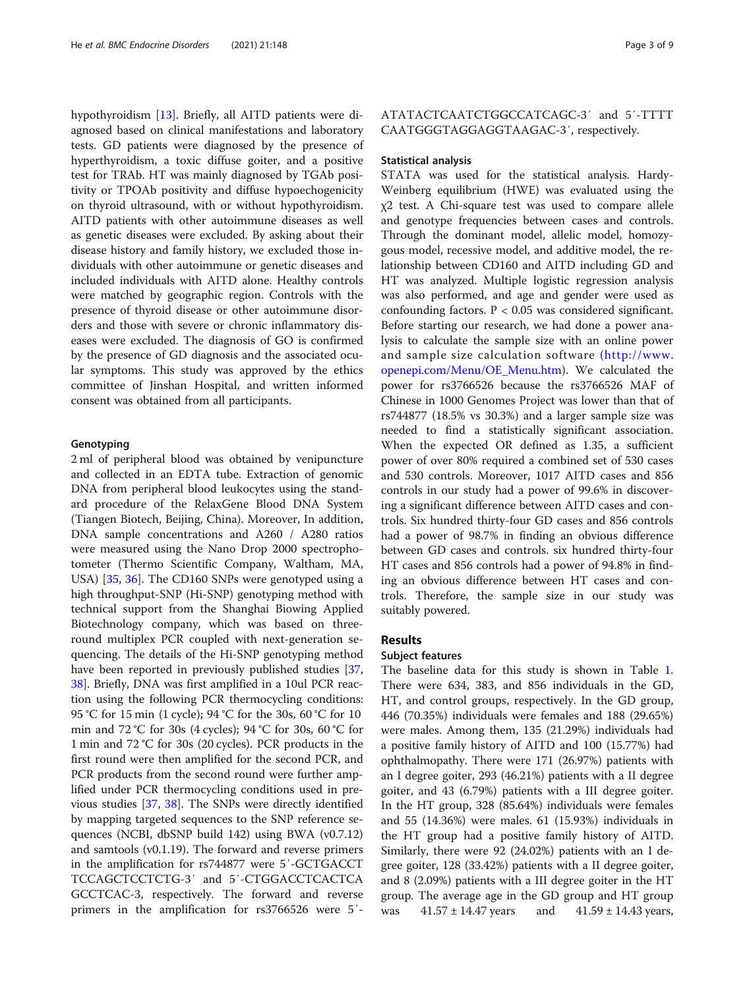hypothyroidism [[13\]](#page-7-0). Briefly, all AITD patients were diagnosed based on clinical manifestations and laboratory tests. GD patients were diagnosed by the presence of hyperthyroidism, a toxic diffuse goiter, and a positive test for TRAb. HT was mainly diagnosed by TGAb positivity or TPOAb positivity and diffuse hypoechogenicity on thyroid ultrasound, with or without hypothyroidism. AITD patients with other autoimmune diseases as well as genetic diseases were excluded. By asking about their disease history and family history, we excluded those individuals with other autoimmune or genetic diseases and included individuals with AITD alone. Healthy controls were matched by geographic region. Controls with the presence of thyroid disease or other autoimmune disorders and those with severe or chronic inflammatory diseases were excluded. The diagnosis of GO is confirmed by the presence of GD diagnosis and the associated ocular symptoms. This study was approved by the ethics committee of Jinshan Hospital, and written informed consent was obtained from all participants.

## Genotyping

2 ml of peripheral blood was obtained by venipuncture and collected in an EDTA tube. Extraction of genomic DNA from peripheral blood leukocytes using the standard procedure of the RelaxGene Blood DNA System (Tiangen Biotech, Beijing, China). Moreover, In addition, DNA sample concentrations and A260 / A280 ratios were measured using the Nano Drop 2000 spectrophotometer (Thermo Scientific Company, Waltham, MA, USA) [\[35](#page-8-0), [36\]](#page-8-0). The CD160 SNPs were genotyped using a high throughput-SNP (Hi-SNP) genotyping method with technical support from the Shanghai Biowing Applied Biotechnology company, which was based on threeround multiplex PCR coupled with next-generation sequencing. The details of the Hi-SNP genotyping method have been reported in previously published studies [[37](#page-8-0), [38\]](#page-8-0). Briefly, DNA was first amplified in a 10ul PCR reaction using the following PCR thermocycling conditions: 95 °C for 15 min (1 cycle); 94 °C for the 30s, 60 °C for 10 min and 72 °C for 30s (4 cycles); 94 °C for 30s, 60 °C for 1 min and 72 °C for 30s (20 cycles). PCR products in the first round were then amplified for the second PCR, and PCR products from the second round were further amplified under PCR thermocycling conditions used in previous studies [\[37](#page-8-0), [38\]](#page-8-0). The SNPs were directly identified by mapping targeted sequences to the SNP reference sequences (NCBI, dbSNP build 142) using BWA (v0.7.12) and samtools (v0.1.19). The forward and reverse primers in the amplification for rs744877 were 5′-GCTGACCT TCCAGCTCCTCTG-3′ and 5′-CTGGACCTCACTCA GCCTCAC-3, respectively. The forward and reverse primers in the amplification for rs3766526 were 5′-

## ATATACTCAATCTGGCCATCAGC-3′ and 5′-TTTT CAATGGGTAGGAGGTAAGAC-3′, respectively.

#### Statistical analysis

STATA was used for the statistical analysis. Hardy-Weinberg equilibrium (HWE) was evaluated using the χ2 test. A Chi-square test was used to compare allele and genotype frequencies between cases and controls. Through the dominant model, allelic model, homozygous model, recessive model, and additive model, the relationship between CD160 and AITD including GD and HT was analyzed. Multiple logistic regression analysis was also performed, and age and gender were used as confounding factors. P < 0.05 was considered significant. Before starting our research, we had done a power analysis to calculate the sample size with an online power and sample size calculation software ([http://www.](http://www.openepi.com/Menu/OE_Menu.htm) [openepi.com/Menu/OE\\_Menu.htm](http://www.openepi.com/Menu/OE_Menu.htm)). We calculated the power for rs3766526 because the rs3766526 MAF of Chinese in 1000 Genomes Project was lower than that of rs744877 (18.5% vs 30.3%) and a larger sample size was needed to find a statistically significant association. When the expected OR defined as 1.35, a sufficient power of over 80% required a combined set of 530 cases and 530 controls. Moreover, 1017 AITD cases and 856 controls in our study had a power of 99.6% in discovering a significant difference between AITD cases and controls. Six hundred thirty-four GD cases and 856 controls had a power of 98.7% in finding an obvious difference between GD cases and controls. six hundred thirty-four HT cases and 856 controls had a power of 94.8% in finding an obvious difference between HT cases and controls. Therefore, the sample size in our study was suitably powered.

## Results

#### Subject features

The baseline data for this study is shown in Table [1](#page-3-0). There were 634, 383, and 856 individuals in the GD, HT, and control groups, respectively. In the GD group, 446 (70.35%) individuals were females and 188 (29.65%) were males. Among them, 135 (21.29%) individuals had a positive family history of AITD and 100 (15.77%) had ophthalmopathy. There were 171 (26.97%) patients with an I degree goiter, 293 (46.21%) patients with a II degree goiter, and 43 (6.79%) patients with a III degree goiter. In the HT group, 328 (85.64%) individuals were females and 55 (14.36%) were males. 61 (15.93%) individuals in the HT group had a positive family history of AITD. Similarly, there were 92 (24.02%) patients with an I degree goiter, 128 (33.42%) patients with a II degree goiter, and 8 (2.09%) patients with a III degree goiter in the HT group. The average age in the GD group and HT group was  $41.57 \pm 14.47$  years and  $41.59 \pm 14.43$  years,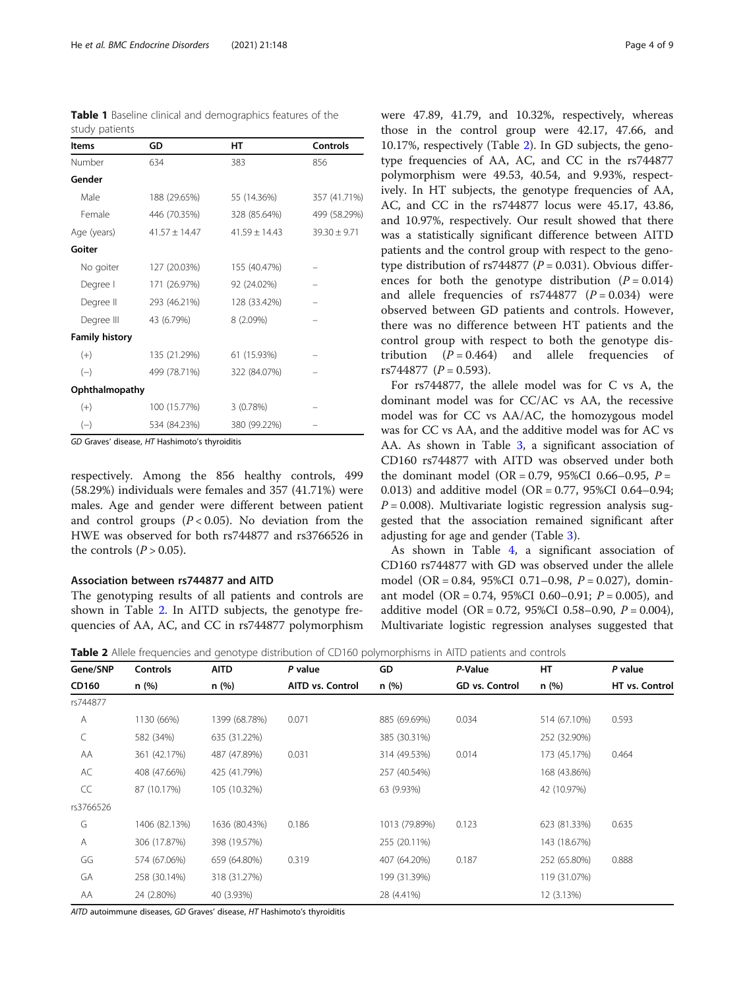<span id="page-3-0"></span>

|  |                |  | Table 1 Baseline clinical and demographics features of the |  |
|--|----------------|--|------------------------------------------------------------|--|
|  | study patients |  |                                                            |  |

| <b>Items</b>          | GD                | НT              | <b>Controls</b>  |
|-----------------------|-------------------|-----------------|------------------|
| Number                | 634               | 383             | 856              |
| Gender                |                   |                 |                  |
| Male                  | 188 (29.65%)      | 55 (14.36%)     | 357 (41.71%)     |
| Female                | 446 (70.35%)      | 328 (85.64%)    | 499 (58.29%)     |
| Age (years)           | $41.57 \pm 14.47$ | $41.59 + 14.43$ | $39.30 \pm 9.71$ |
| Goiter                |                   |                 |                  |
| No goiter             | 127 (20.03%)      | 155 (40.47%)    |                  |
| Degree I              | 171 (26.97%)      | 92 (24.02%)     |                  |
| Degree II             | 293 (46.21%)      | 128 (33.42%)    |                  |
| Degree III            | 43 (6.79%)        | 8 (2.09%)       |                  |
| <b>Family history</b> |                   |                 |                  |
| $(+)$                 | 135 (21.29%)      | 61 (15.93%)     |                  |
| $(-)$                 | 499 (78.71%)      | 322 (84.07%)    |                  |
| Ophthalmopathy        |                   |                 |                  |
| $(+)$                 | 100 (15.77%)      | 3(0.78%)        |                  |
| $(-)$                 | 534 (84.23%)      | 380 (99.22%)    |                  |

GD Graves' disease, HT Hashimoto's thyroiditis

respectively. Among the 856 healthy controls, 499 (58.29%) individuals were females and 357 (41.71%) were males. Age and gender were different between patient and control groups  $(P < 0.05)$ . No deviation from the HWE was observed for both rs744877 and rs3766526 in the controls  $(P > 0.05)$ .

## Association between rs744877 and AITD

The genotyping results of all patients and controls are shown in Table 2. In AITD subjects, the genotype frequencies of AA, AC, and CC in rs744877 polymorphism were 47.89, 41.79, and 10.32%, respectively, whereas those in the control group were 42.17, 47.66, and 10.17%, respectively (Table 2). In GD subjects, the genotype frequencies of AA, AC, and CC in the rs744877 polymorphism were 49.53, 40.54, and 9.93%, respectively. In HT subjects, the genotype frequencies of AA, AC, and CC in the rs744877 locus were 45.17, 43.86, and 10.97%, respectively. Our result showed that there was a statistically significant difference between AITD patients and the control group with respect to the genotype distribution of rs744877 ( $P = 0.031$ ). Obvious differences for both the genotype distribution  $(P = 0.014)$ and allele frequencies of  $rs744877$   $(P = 0.034)$  were observed between GD patients and controls. However, there was no difference between HT patients and the control group with respect to both the genotype distribution  $(P = 0.464)$  and allele frequencies of rs744877  $(P = 0.593)$ .

For rs744877, the allele model was for C vs A, the dominant model was for CC/AC vs AA, the recessive model was for CC vs AA/AC, the homozygous model was for CC vs AA, and the additive model was for AC vs AA. As shown in Table [3](#page-4-0), a significant association of CD160 rs744877 with AITD was observed under both the dominant model (OR = 0.79, 95%CI 0.66–0.95,  $P =$ 0.013) and additive model (OR = 0.77, 95%CI 0.64–0.94;  $P = 0.008$ ). Multivariate logistic regression analysis suggested that the association remained significant after adjusting for age and gender (Table [3](#page-4-0)).

As shown in Table [4,](#page-4-0) a significant association of CD160 rs744877 with GD was observed under the allele model (OR = 0.84, 95%CI 0.71-0.98,  $P = 0.027$ ), dominant model (OR = 0.74, 95%CI 0.60–0.91;  $P = 0.005$ ), and additive model (OR = 0.72, 95%CI 0.58-0.90,  $P = 0.004$ ), Multivariate logistic regression analyses suggested that

**Table 2** Allele frequencies and genotype distribution of CD160 polymorphisms in AITD patients and controls

| Gene/SNP     | Controls      | <b>AITD</b>   | P value          | GD            | P-Value        | HT.          | P value        |
|--------------|---------------|---------------|------------------|---------------|----------------|--------------|----------------|
| <b>CD160</b> | n (%)         | n (%)         | AITD vs. Control | n (%)         | GD vs. Control | n (%)        | HT vs. Control |
| rs744877     |               |               |                  |               |                |              |                |
| A            | 1130 (66%)    | 1399 (68.78%) | 0.071            | 885 (69.69%)  | 0.034          | 514 (67.10%) | 0.593          |
| C            | 582 (34%)     | 635 (31.22%)  |                  | 385 (30.31%)  |                | 252 (32.90%) |                |
| AA           | 361 (42.17%)  | 487 (47.89%)  | 0.031            | 314 (49.53%)  | 0.014          | 173 (45.17%) | 0.464          |
| AC           | 408 (47.66%)  | 425 (41.79%)  |                  | 257 (40.54%)  |                | 168 (43.86%) |                |
| CC           | 87 (10.17%)   | 105 (10.32%)  |                  | 63 (9.93%)    |                | 42 (10.97%)  |                |
| rs3766526    |               |               |                  |               |                |              |                |
| G            | 1406 (82.13%) | 1636 (80.43%) | 0.186            | 1013 (79.89%) | 0.123          | 623 (81.33%) | 0.635          |
| A            | 306 (17.87%)  | 398 (19.57%)  |                  | 255 (20.11%)  |                | 143 (18.67%) |                |
| GG           | 574 (67.06%)  | 659 (64.80%)  | 0.319            | 407 (64.20%)  | 0.187          | 252 (65.80%) | 0.888          |
| GA           | 258 (30.14%)  | 318 (31.27%)  |                  | 199 (31.39%)  |                | 119 (31.07%) |                |
| AA           | 24 (2.80%)    | 40 (3.93%)    |                  | 28 (4.41%)    |                | 12 (3.13%)   |                |

AITD autoimmune diseases, GD Graves' disease, HT Hashimoto's thyroiditis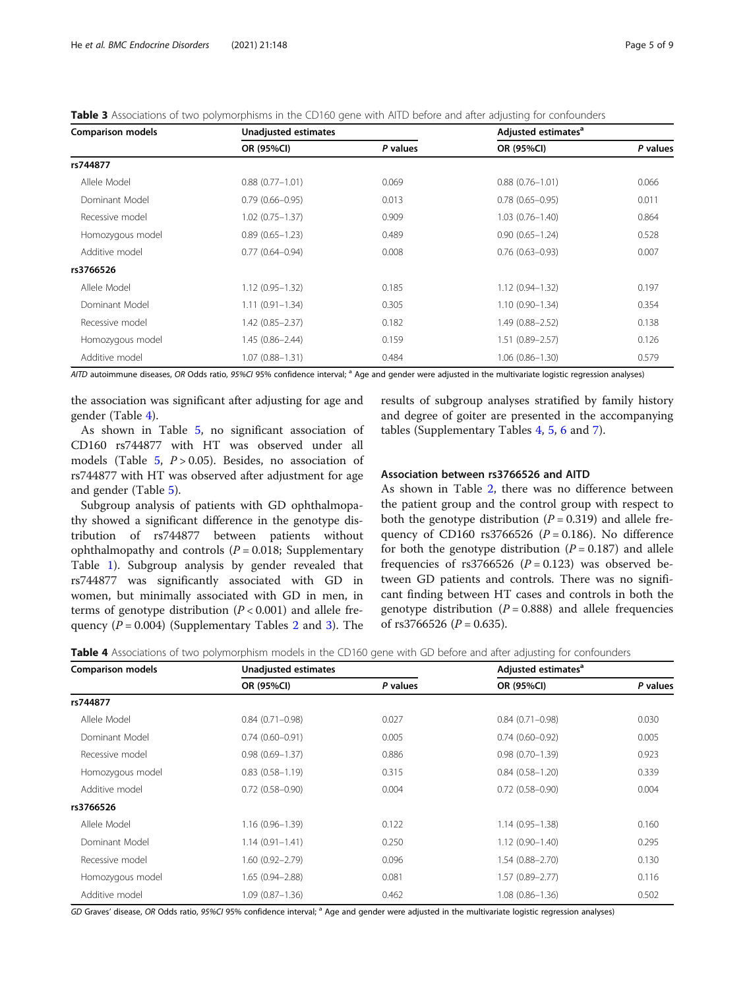<span id="page-4-0"></span>Table 3 Associations of two polymorphisms in the CD160 gene with AITD before and after adjusting for confounders

| <b>Comparison models</b> | Unadjusted estimates |          | Adjusted estimates <sup>a</sup> |          |  |
|--------------------------|----------------------|----------|---------------------------------|----------|--|
|                          | OR (95%CI)           | P values | OR (95%CI)                      | P values |  |
| rs744877                 |                      |          |                                 |          |  |
| Allele Model             | $0.88(0.77 - 1.01)$  | 0.069    | $0.88(0.76 - 1.01)$             | 0.066    |  |
| Dominant Model           | $0.79(0.66 - 0.95)$  | 0.013    | $0.78(0.65 - 0.95)$             | 0.011    |  |
| Recessive model          | $1.02(0.75 - 1.37)$  | 0.909    | $1.03(0.76 - 1.40)$             | 0.864    |  |
| Homozygous model         | $0.89(0.65 - 1.23)$  | 0.489    | $0.90(0.65 - 1.24)$             | 0.528    |  |
| Additive model           | $0.77(0.64 - 0.94)$  | 0.008    | $0.76(0.63 - 0.93)$             | 0.007    |  |
| rs3766526                |                      |          |                                 |          |  |
| Allele Model             | $1.12(0.95 - 1.32)$  | 0.185    | $1.12(0.94 - 1.32)$             | 0.197    |  |
| Dominant Model           | $1.11(0.91 - 1.34)$  | 0.305    | $1.10(0.90 - 1.34)$             | 0.354    |  |
| Recessive model          | $1.42(0.85 - 2.37)$  | 0.182    | 1.49 (0.88-2.52)                | 0.138    |  |
| Homozygous model         | $1.45(0.86 - 2.44)$  | 0.159    | $1.51(0.89 - 2.57)$             | 0.126    |  |
| Additive model           | $1.07(0.88 - 1.31)$  | 0.484    | $1.06(0.86 - 1.30)$             | 0.579    |  |

AITD autoimmune diseases, OR Odds ratio, 95%CI 95% confidence interval; <sup>a</sup> Age and gender were adjusted in the multivariate logistic regression analyses)

the association was significant after adjusting for age and gender (Table 4).

As shown in Table [5,](#page-5-0) no significant association of CD160 rs744877 with HT was observed under all models (Table  $5, P > 0.05$  $5, P > 0.05$ ). Besides, no association of rs744877 with HT was observed after adjustment for age and gender (Table [5](#page-5-0)).

Subgroup analysis of patients with GD ophthalmopathy showed a significant difference in the genotype distribution of rs744877 between patients without ophthalmopathy and controls  $(P = 0.018;$  Supplementary Table [1\)](#page-7-0). Subgroup analysis by gender revealed that rs744877 was significantly associated with GD in women, but minimally associated with GD in men, in terms of genotype distribution  $(P < 0.001)$  and allele frequency  $(P = 0.004)$  (Supplementary Tables [2](#page-7-0) and [3\)](#page-7-0). The results of subgroup analyses stratified by family history and degree of goiter are presented in the accompanying tables (Supplementary Tables [4](#page-7-0), [5](#page-7-0), [6](#page-7-0) and [7\)](#page-7-0).

## Association between rs3766526 and AITD

As shown in Table [2,](#page-3-0) there was no difference between the patient group and the control group with respect to both the genotype distribution  $(P = 0.319)$  and allele frequency of CD160 rs3766526 ( $P = 0.186$ ). No difference for both the genotype distribution  $(P = 0.187)$  and allele frequencies of rs3766526 ( $P = 0.123$ ) was observed between GD patients and controls. There was no significant finding between HT cases and controls in both the genotype distribution ( $P = 0.888$ ) and allele frequencies of rs3766526 ( $P = 0.635$ ).

|  |  |  | <b>Table 4</b> Associations of two polymorphism models in the CD160 gene with GD before and after adjusting for confounders |
|--|--|--|-----------------------------------------------------------------------------------------------------------------------------|
|--|--|--|-----------------------------------------------------------------------------------------------------------------------------|

| <b>Comparison models</b> | Unadjusted estimates |          | Adjusted estimates <sup>a</sup> |          |  |
|--------------------------|----------------------|----------|---------------------------------|----------|--|
|                          | OR (95%CI)           | P values | OR (95%CI)                      | P values |  |
| rs744877                 |                      |          |                                 |          |  |
| Allele Model             | $0.84(0.71 - 0.98)$  | 0.027    | $0.84(0.71 - 0.98)$             | 0.030    |  |
| Dominant Model           | $0.74(0.60 - 0.91)$  | 0.005    | $0.74(0.60 - 0.92)$             | 0.005    |  |
| Recessive model          | $0.98(0.69 - 1.37)$  | 0.886    | $0.98(0.70 - 1.39)$             | 0.923    |  |
| Homozygous model         | $0.83(0.58 - 1.19)$  | 0.315    | $0.84(0.58 - 1.20)$             | 0.339    |  |
| Additive model           | $0.72(0.58 - 0.90)$  | 0.004    | $0.72(0.58 - 0.90)$             | 0.004    |  |
| rs3766526                |                      |          |                                 |          |  |
| Allele Model             | $1.16(0.96 - 1.39)$  | 0.122    | $1.14(0.95 - 1.38)$             | 0.160    |  |
| Dominant Model           | $1.14(0.91 - 1.41)$  | 0.250    | $1.12(0.90 - 1.40)$             | 0.295    |  |
| Recessive model          | $1.60(0.92 - 2.79)$  | 0.096    | $1.54(0.88 - 2.70)$             | 0.130    |  |
| Homozygous model         | $1.65(0.94 - 2.88)$  | 0.081    | $1.57(0.89 - 2.77)$             | 0.116    |  |
| Additive model           | $1.09(0.87 - 1.36)$  | 0.462    | $1.08(0.86 - 1.36)$             | 0.502    |  |

GD Graves' disease, OR Odds ratio, 95%CI 95% confidence interval; <sup>a</sup> Age and gender were adjusted in the multivariate logistic regression analyses)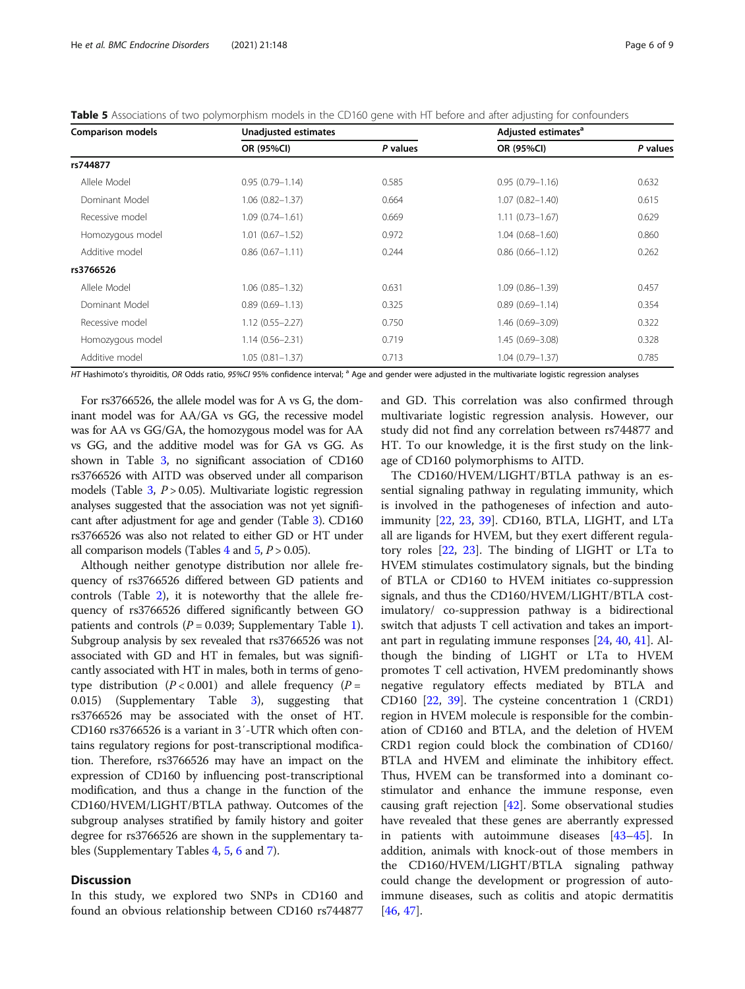<span id="page-5-0"></span>

| <b>Comparison models</b> | Unadjusted estimates |          | Adjusted estimates <sup>a</sup> |          |
|--------------------------|----------------------|----------|---------------------------------|----------|
|                          | OR (95%CI)           | P values | OR (95%CI)                      | P values |
| rs744877                 |                      |          |                                 |          |
| Allele Model             | $0.95(0.79 - 1.14)$  | 0.585    | $0.95(0.79 - 1.16)$             | 0.632    |
| Dominant Model           | $1.06(0.82 - 1.37)$  | 0.664    | $1.07(0.82 - 1.40)$             | 0.615    |
| Recessive model          | $1.09(0.74 - 1.61)$  | 0.669    | $1.11(0.73 - 1.67)$             | 0.629    |
| Homozygous model         | $1.01(0.67 - 1.52)$  | 0.972    | $1.04(0.68 - 1.60)$             | 0.860    |
| Additive model           | $0.86(0.67 - 1.11)$  | 0.244    | $0.86(0.66 - 1.12)$             | 0.262    |
| rs3766526                |                      |          |                                 |          |
| Allele Model             | $1.06(0.85 - 1.32)$  | 0.631    | $1.09(0.86 - 1.39)$             | 0.457    |
| Dominant Model           | $0.89(0.69 - 1.13)$  | 0.325    | $0.89(0.69 - 1.14)$             | 0.354    |
| Recessive model          | $1.12(0.55 - 2.27)$  | 0.750    | 1.46 (0.69-3.09)                | 0.322    |
| Homozygous model         | $1.14(0.56 - 2.31)$  | 0.719    | $1.45(0.69 - 3.08)$             | 0.328    |
| Additive model           | $1.05(0.81 - 1.37)$  | 0.713    | $1.04(0.79 - 1.37)$             | 0.785    |

HT Hashimoto's thyroiditis, OR Odds ratio, 95%CI 95% confidence interval; <sup>a</sup> Age and gender were adjusted in the multivariate logistic regression analyses

For rs3766526, the allele model was for A vs G, the dominant model was for AA/GA vs GG, the recessive model was for AA vs GG/GA, the homozygous model was for AA vs GG, and the additive model was for GA vs GG. As shown in Table [3](#page-4-0), no significant association of CD160 rs3766526 with AITD was observed under all comparison models (Table  $3, P > 0.05$  $3, P > 0.05$ ). Multivariate logistic regression analyses suggested that the association was not yet significant after adjustment for age and gender (Table [3\)](#page-4-0). CD160 rs3766526 was also not related to either GD or HT under all comparison models (Tables [4](#page-4-0) and  $5, P > 0.05$ ).

Although neither genotype distribution nor allele frequency of rs3766526 differed between GD patients and controls (Table [2\)](#page-3-0), it is noteworthy that the allele frequency of rs3766526 differed significantly between GO patients and controls ( $P = 0.039$ ; Supplementary Table [1](#page-7-0)). Subgroup analysis by sex revealed that rs3766526 was not associated with GD and HT in females, but was significantly associated with HT in males, both in terms of genotype distribution ( $P < 0.001$ ) and allele frequency ( $P =$ 0.015) (Supplementary Table [3\)](#page-7-0), suggesting that rs3766526 may be associated with the onset of HT. CD160 rs3766526 is a variant in 3′-UTR which often contains regulatory regions for post-transcriptional modification. Therefore, rs3766526 may have an impact on the expression of CD160 by influencing post-transcriptional modification, and thus a change in the function of the CD160/HVEM/LIGHT/BTLA pathway. Outcomes of the subgroup analyses stratified by family history and goiter degree for rs3766526 are shown in the supplementary tables (Supplementary Tables [4](#page-7-0), [5,](#page-7-0) [6](#page-7-0) and [7](#page-7-0)).

## **Discussion**

In this study, we explored two SNPs in CD160 and found an obvious relationship between CD160 rs744877

and GD. This correlation was also confirmed through multivariate logistic regression analysis. However, our study did not find any correlation between rs744877 and HT. To our knowledge, it is the first study on the linkage of CD160 polymorphisms to AITD.

The CD160/HVEM/LIGHT/BTLA pathway is an essential signaling pathway in regulating immunity, which is involved in the pathogeneses of infection and autoimmunity [\[22](#page-8-0), [23](#page-8-0), [39\]](#page-8-0). CD160, BTLA, LIGHT, and LTa all are ligands for HVEM, but they exert different regulatory roles [[22](#page-8-0), [23](#page-8-0)]. The binding of LIGHT or LTa to HVEM stimulates costimulatory signals, but the binding of BTLA or CD160 to HVEM initiates co-suppression signals, and thus the CD160/HVEM/LIGHT/BTLA costimulatory/ co-suppression pathway is a bidirectional switch that adjusts T cell activation and takes an important part in regulating immune responses [[24](#page-8-0), [40](#page-8-0), [41](#page-8-0)]. Although the binding of LIGHT or LTa to HVEM promotes T cell activation, HVEM predominantly shows negative regulatory effects mediated by BTLA and CD160 [\[22](#page-8-0), [39\]](#page-8-0). The cysteine concentration 1 (CRD1) region in HVEM molecule is responsible for the combination of CD160 and BTLA, and the deletion of HVEM CRD1 region could block the combination of CD160/ BTLA and HVEM and eliminate the inhibitory effect. Thus, HVEM can be transformed into a dominant costimulator and enhance the immune response, even causing graft rejection [[42](#page-8-0)]. Some observational studies have revealed that these genes are aberrantly expressed in patients with autoimmune diseases [[43](#page-8-0)–[45](#page-8-0)]. In addition, animals with knock-out of those members in the CD160/HVEM/LIGHT/BTLA signaling pathway could change the development or progression of autoimmune diseases, such as colitis and atopic dermatitis [[46,](#page-8-0) [47\]](#page-8-0).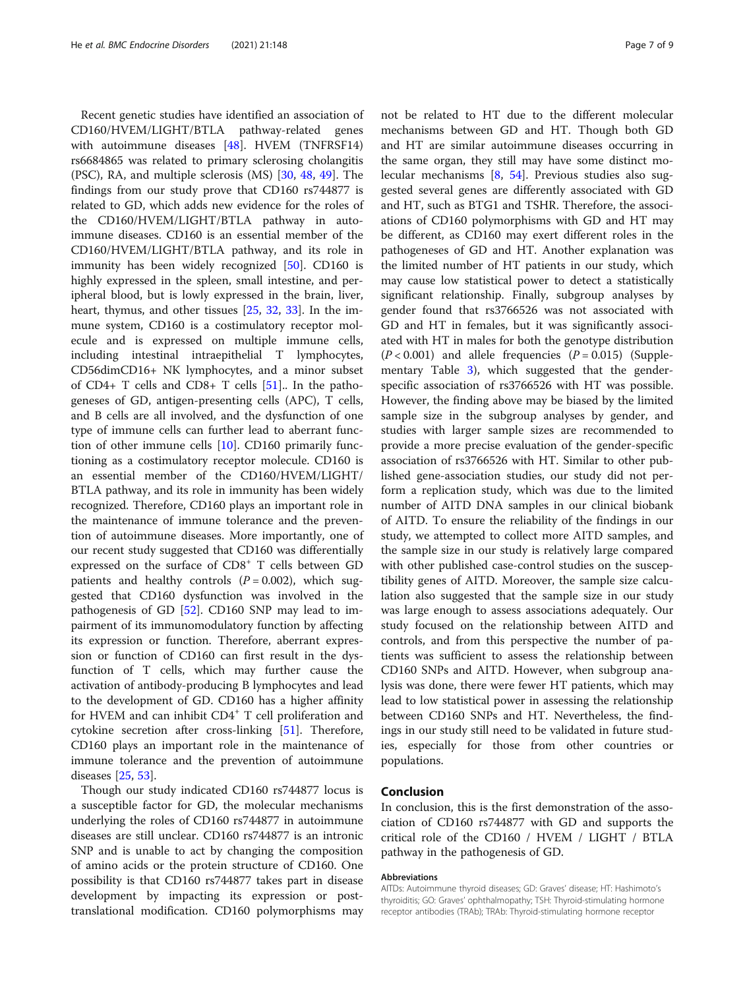Recent genetic studies have identified an association of CD160/HVEM/LIGHT/BTLA pathway-related genes with autoimmune diseases [[48\]](#page-8-0). HVEM (TNFRSF14) rs6684865 was related to primary sclerosing cholangitis (PSC), RA, and multiple sclerosis (MS) [[30,](#page-8-0) [48](#page-8-0), [49](#page-8-0)]. The findings from our study prove that CD160 rs744877 is related to GD, which adds new evidence for the roles of the CD160/HVEM/LIGHT/BTLA pathway in autoimmune diseases. CD160 is an essential member of the CD160/HVEM/LIGHT/BTLA pathway, and its role in immunity has been widely recognized [[50\]](#page-8-0). CD160 is highly expressed in the spleen, small intestine, and peripheral blood, but is lowly expressed in the brain, liver, heart, thymus, and other tissues [\[25,](#page-8-0) [32,](#page-8-0) [33](#page-8-0)]. In the immune system, CD160 is a costimulatory receptor molecule and is expressed on multiple immune cells, including intestinal intraepithelial T lymphocytes, CD56dimCD16+ NK lymphocytes, and a minor subset of  $CD4+$  T cells and  $CD8+$  T cells  $[51]$  $[51]$ . In the pathogeneses of GD, antigen-presenting cells (APC), T cells, and B cells are all involved, and the dysfunction of one type of immune cells can further lead to aberrant function of other immune cells [[10](#page-7-0)]. CD160 primarily functioning as a costimulatory receptor molecule. CD160 is an essential member of the CD160/HVEM/LIGHT/ BTLA pathway, and its role in immunity has been widely recognized. Therefore, CD160 plays an important role in the maintenance of immune tolerance and the prevention of autoimmune diseases. More importantly, one of our recent study suggested that CD160 was differentially expressed on the surface of CD8<sup>+</sup> T cells between GD patients and healthy controls  $(P = 0.002)$ , which suggested that CD160 dysfunction was involved in the pathogenesis of GD [\[52](#page-8-0)]. CD160 SNP may lead to impairment of its immunomodulatory function by affecting its expression or function. Therefore, aberrant expression or function of CD160 can first result in the dysfunction of T cells, which may further cause the activation of antibody-producing B lymphocytes and lead to the development of GD. CD160 has a higher affinity for HVEM and can inhibit CD4<sup>+</sup> T cell proliferation and cytokine secretion after cross-linking [[51\]](#page-8-0). Therefore, CD160 plays an important role in the maintenance of immune tolerance and the prevention of autoimmune diseases [\[25,](#page-8-0) [53\]](#page-8-0).

Though our study indicated CD160 rs744877 locus is a susceptible factor for GD, the molecular mechanisms underlying the roles of CD160 rs744877 in autoimmune diseases are still unclear. CD160 rs744877 is an intronic SNP and is unable to act by changing the composition of amino acids or the protein structure of CD160. One possibility is that CD160 rs744877 takes part in disease development by impacting its expression or posttranslational modification. CD160 polymorphisms may not be related to HT due to the different molecular mechanisms between GD and HT. Though both GD and HT are similar autoimmune diseases occurring in the same organ, they still may have some distinct molecular mechanisms [\[8](#page-7-0), [54](#page-8-0)]. Previous studies also suggested several genes are differently associated with GD and HT, such as BTG1 and TSHR. Therefore, the associations of CD160 polymorphisms with GD and HT may be different, as CD160 may exert different roles in the pathogeneses of GD and HT. Another explanation was the limited number of HT patients in our study, which may cause low statistical power to detect a statistically significant relationship. Finally, subgroup analyses by gender found that rs3766526 was not associated with GD and HT in females, but it was significantly associated with HT in males for both the genotype distribution  $(P < 0.001)$  and allele frequencies  $(P = 0.015)$  (Supplementary Table [3](#page-7-0)), which suggested that the genderspecific association of rs3766526 with HT was possible. However, the finding above may be biased by the limited sample size in the subgroup analyses by gender, and studies with larger sample sizes are recommended to provide a more precise evaluation of the gender-specific association of rs3766526 with HT. Similar to other published gene-association studies, our study did not perform a replication study, which was due to the limited number of AITD DNA samples in our clinical biobank of AITD. To ensure the reliability of the findings in our study, we attempted to collect more AITD samples, and the sample size in our study is relatively large compared with other published case-control studies on the susceptibility genes of AITD. Moreover, the sample size calculation also suggested that the sample size in our study was large enough to assess associations adequately. Our study focused on the relationship between AITD and controls, and from this perspective the number of patients was sufficient to assess the relationship between CD160 SNPs and AITD. However, when subgroup analysis was done, there were fewer HT patients, which may lead to low statistical power in assessing the relationship between CD160 SNPs and HT. Nevertheless, the findings in our study still need to be validated in future studies, especially for those from other countries or populations.

## Conclusion

In conclusion, this is the first demonstration of the association of CD160 rs744877 with GD and supports the critical role of the CD160 / HVEM / LIGHT / BTLA pathway in the pathogenesis of GD.

#### Abbreviations

AITDs: Autoimmune thyroid diseases; GD: Graves' disease; HT: Hashimoto's thyroiditis; GO: Graves' ophthalmopathy; TSH: Thyroid-stimulating hormone receptor antibodies (TRAb); TRAb: Thyroid-stimulating hormone receptor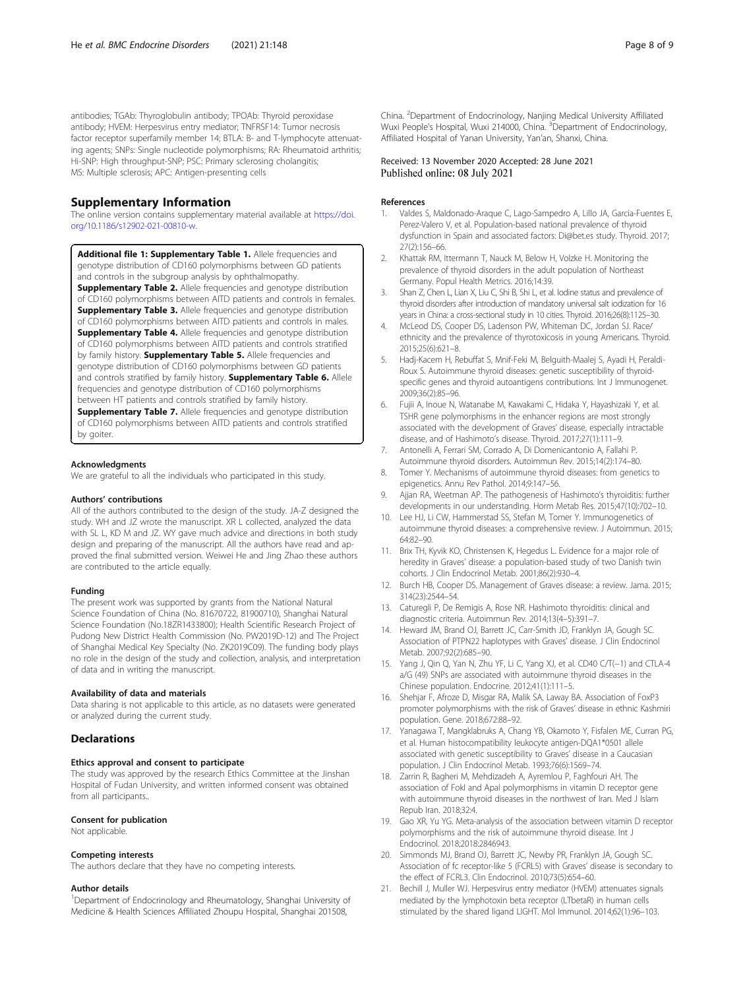<span id="page-7-0"></span>antibodies; TGAb: Thyroglobulin antibody; TPOAb: Thyroid peroxidase antibody; HVEM: Herpesvirus entry mediator; TNFRSF14: Tumor necrosis factor receptor superfamily member 14; BTLA: B- and T-lymphocyte attenuating agents; SNPs: Single nucleotide polymorphisms; RA: Rheumatoid arthritis; Hi-SNP: High throughput-SNP; PSC: Primary sclerosing cholangitis; MS: Multiple sclerosis; APC: Antigen-presenting cells

## Supplementary Information

The online version contains supplementary material available at [https://doi.](https://doi.org/10.1186/s12902-021-00810-w) [org/10.1186/s12902-021-00810-w](https://doi.org/10.1186/s12902-021-00810-w).

Additional file 1: Supplementary Table 1. Allele frequencies and genotype distribution of CD160 polymorphisms between GD patients and controls in the subgroup analysis by ophthalmopathy. **Supplementary Table 2.** Allele frequencies and genotype distribution of CD160 polymorphisms between AITD patients and controls in females. **Supplementary Table 3.** Allele frequencies and genotype distribution of CD160 polymorphisms between AITD patients and controls in males. **Supplementary Table 4.** Allele frequencies and genotype distribution of CD160 polymorphisms between AITD patients and controls stratified by family history. **Supplementary Table 5.** Allele frequencies and genotype distribution of CD160 polymorphisms between GD patients and controls stratified by family history. Supplementary Table 6. Allele frequencies and genotype distribution of CD160 polymorphisms between HT patients and controls stratified by family history. **Supplementary Table 7.** Allele frequencies and genotype distribution of CD160 polymorphisms between AITD patients and controls stratified by goiter.

#### Acknowledgments

We are grateful to all the individuals who participated in this study.

#### Authors' contributions

All of the authors contributed to the design of the study. JA-Z designed the study. WH and JZ wrote the manuscript. XR L collected, analyzed the data with SL L, KD M and JZ. WY gave much advice and directions in both study design and preparing of the manuscript. All the authors have read and approved the final submitted version. Weiwei He and Jing Zhao these authors are contributed to the article equally.

#### Funding

The present work was supported by grants from the National Natural Science Foundation of China (No. 81670722, 81900710), Shanghai Natural Science Foundation (No.18ZR1433800); Health Scientific Research Project of Pudong New District Health Commission (No. PW2019D-12) and The Project of Shanghai Medical Key Specialty (No. ZK2019C09). The funding body plays no role in the design of the study and collection, analysis, and interpretation of data and in writing the manuscript.

## Availability of data and materials

Data sharing is not applicable to this article, as no datasets were generated or analyzed during the current study.

## **Declarations**

#### Ethics approval and consent to participate

The study was approved by the research Ethics Committee at the Jinshan Hospital of Fudan University, and written informed consent was obtained from all participants..

#### Consent for publication

Not applicable.

#### Competing interests

The authors declare that they have no competing interests.

#### Author details

<sup>1</sup>Department of Endocrinology and Rheumatology, Shanghai University of Medicine & Health Sciences Affiliated Zhoupu Hospital, Shanghai 201508,

#### Received: 13 November 2020 Accepted: 28 June 2021 Published online: 08 July 2021

#### References

- Valdes S, Maldonado-Araque C, Lago-Sampedro A, Lillo JA, Garcia-Fuentes E, Perez-Valero V, et al. Population-based national prevalence of thyroid dysfunction in Spain and associated factors: Di@bet.es study. Thyroid. 2017; 27(2):156–66.
- 2. Khattak RM, Ittermann T, Nauck M, Below H, Volzke H. Monitoring the prevalence of thyroid disorders in the adult population of Northeast Germany. Popul Health Metrics. 2016;14:39.
- 3. Shan Z, Chen L, Lian X, Liu C, Shi B, Shi L, et al. Iodine status and prevalence of thyroid disorders after introduction of mandatory universal salt iodization for 16 years in China: a cross-sectional study in 10 cities. Thyroid. 2016;26(8):1125–30.
- 4. McLeod DS, Cooper DS, Ladenson PW, Whiteman DC, Jordan SJ. Race/ ethnicity and the prevalence of thyrotoxicosis in young Americans. Thyroid. 2015;25(6):621–8.
- 5. Hadj-Kacem H, Rebuffat S, Mnif-Feki M, Belguith-Maalej S, Ayadi H, Peraldi-Roux S. Autoimmune thyroid diseases: genetic susceptibility of thyroidspecific genes and thyroid autoantigens contributions. Int J Immunogenet. 2009;36(2):85–96.
- 6. Fujii A, Inoue N, Watanabe M, Kawakami C, Hidaka Y, Hayashizaki Y, et al. TSHR gene polymorphisms in the enhancer regions are most strongly associated with the development of Graves' disease, especially intractable disease, and of Hashimoto's disease. Thyroid. 2017;27(1):111–9.
- 7. Antonelli A, Ferrari SM, Corrado A, Di Domenicantonio A, Fallahi P. Autoimmune thyroid disorders. Autoimmun Rev. 2015;14(2):174–80.
- 8. Tomer Y. Mechanisms of autoimmune thyroid diseases: from genetics to epigenetics. Annu Rev Pathol. 2014;9:147–56.
- 9. Ajjan RA, Weetman AP. The pathogenesis of Hashimoto's thyroiditis: further developments in our understanding. Horm Metab Res. 2015;47(10):702–10.
- 10. Lee HJ, Li CW, Hammerstad SS, Stefan M, Tomer Y. Immunogenetics of autoimmune thyroid diseases: a comprehensive review. J Autoimmun. 2015; 64:82–90.
- 11. Brix TH, Kyvik KO, Christensen K, Hegedus L. Evidence for a major role of heredity in Graves' disease: a population-based study of two Danish twin cohorts. J Clin Endocrinol Metab. 2001;86(2):930–4.
- 12. Burch HB, Cooper DS. Management of Graves disease: a review. Jama. 2015; 314(23):2544–54.
- 13. Caturegli P, De Remigis A, Rose NR. Hashimoto thyroiditis: clinical and diagnostic criteria. Autoimmun Rev. 2014;13(4–5):391–7.
- 14. Heward JM, Brand OJ, Barrett JC, Carr-Smith JD, Franklyn JA, Gough SC. Association of PTPN22 haplotypes with Graves' disease. J Clin Endocrinol Metab. 2007;92(2):685–90.
- 15. Yang J, Qin Q, Yan N, Zhu YF, Li C, Yang XJ, et al. CD40 C/T(−1) and CTLA-4 a/G (49) SNPs are associated with autoimmune thyroid diseases in the Chinese population. Endocrine. 2012;41(1):111–5.
- 16. Shehjar F, Afroze D, Misgar RA, Malik SA, Laway BA. Association of FoxP3 promoter polymorphisms with the risk of Graves' disease in ethnic Kashmiri population. Gene. 2018;672:88–92.
- 17. Yanagawa T, Mangklabruks A, Chang YB, Okamoto Y, Fisfalen ME, Curran PG, et al. Human histocompatibility leukocyte antigen-DQA1\*0501 allele associated with genetic susceptibility to Graves' disease in a Caucasian population. J Clin Endocrinol Metab. 1993;76(6):1569–74.
- 18. Zarrin R, Bagheri M, Mehdizadeh A, Ayremlou P, Faghfouri AH. The association of FokI and ApaI polymorphisms in vitamin D receptor gene with autoimmune thyroid diseases in the northwest of Iran. Med J Islam Repub Iran. 2018;32:4.
- 19. Gao XR, Yu YG. Meta-analysis of the association between vitamin D receptor polymorphisms and the risk of autoimmune thyroid disease. Int J Endocrinol. 2018;2018:2846943.
- 20. Simmonds MJ, Brand OJ, Barrett JC, Newby PR, Franklyn JA, Gough SC. Association of fc receptor-like 5 (FCRL5) with Graves' disease is secondary to the effect of FCRL3. Clin Endocrinol. 2010;73(5):654–60.
- 21. Bechill J, Muller WJ. Herpesvirus entry mediator (HVEM) attenuates signals mediated by the lymphotoxin beta receptor (LTbetaR) in human cells stimulated by the shared ligand LIGHT. Mol Immunol. 2014;62(1):96–103.